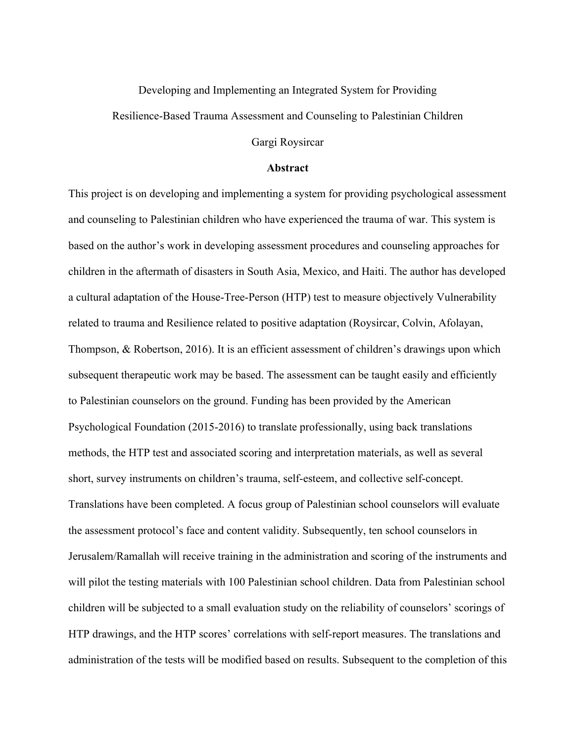## Developing and Implementing an Integrated System for Providing Resilience-Based Trauma Assessment and Counseling to Palestinian Children

## Gargi Roysircar

## **Abstract**

This project is on developing and implementing a system for providing psychological assessment and counseling to Palestinian children who have experienced the trauma of war. This system is based on the author's work in developing assessment procedures and counseling approaches for children in the aftermath of disasters in South Asia, Mexico, and Haiti. The author has developed a cultural adaptation of the House-Tree-Person (HTP) test to measure objectively Vulnerability related to trauma and Resilience related to positive adaptation (Roysircar, Colvin, Afolayan, Thompson, & Robertson, 2016). It is an efficient assessment of children's drawings upon which subsequent therapeutic work may be based. The assessment can be taught easily and efficiently to Palestinian counselors on the ground. Funding has been provided by the American Psychological Foundation (2015-2016) to translate professionally, using back translations methods, the HTP test and associated scoring and interpretation materials, as well as several short, survey instruments on children's trauma, self-esteem, and collective self-concept. Translations have been completed. A focus group of Palestinian school counselors will evaluate the assessment protocol's face and content validity. Subsequently, ten school counselors in Jerusalem/Ramallah will receive training in the administration and scoring of the instruments and will pilot the testing materials with 100 Palestinian school children. Data from Palestinian school children will be subjected to a small evaluation study on the reliability of counselors' scorings of HTP drawings, and the HTP scores' correlations with self-report measures. The translations and administration of the tests will be modified based on results. Subsequent to the completion of this